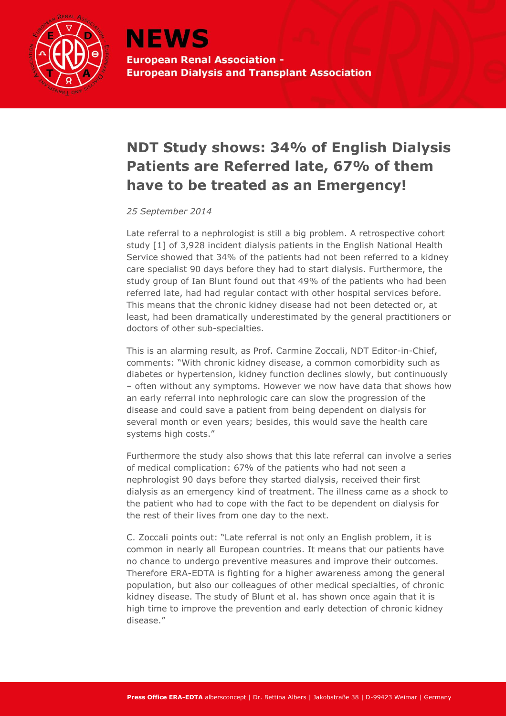

## **NDT Study shows: 34% of English Dialysis Patients are Referred late, 67% of them have to be treated as an Emergency!**

*25 September 2014*

Late referral to a nephrologist is still a big problem. A retrospective cohort study [1] of 3,928 incident dialysis patients in the English National Health Service showed that 34% of the patients had not been referred to a kidney care specialist 90 days before they had to start dialysis. Furthermore, the study group of Ian Blunt found out that 49% of the patients who had been referred late, had had regular contact with other hospital services before. This means that the chronic kidney disease had not been detected or, at least, had been dramatically underestimated by the general practitioners or doctors of other sub-specialties.

This is an alarming result, as Prof. Carmine Zoccali, NDT Editor-in-Chief, comments: "With chronic kidney disease, a common comorbidity such as diabetes or hypertension, kidney function declines slowly, but continuously – often without any symptoms. However we now have data that shows how an early referral into nephrologic care can slow the progression of the disease and could save a patient from being dependent on dialysis for several month or even years; besides, this would save the health care systems high costs."

Furthermore the study also shows that this late referral can involve a series of medical complication: 67% of the patients who had not seen a nephrologist 90 days before they started dialysis, received their first dialysis as an emergency kind of treatment. The illness came as a shock to the patient who had to cope with the fact to be dependent on dialysis for the rest of their lives from one day to the next.

C. Zoccali points out: "Late referral is not only an English problem, it is common in nearly all European countries. It means that our patients have no chance to undergo preventive measures and improve their outcomes. Therefore ERA-EDTA is fighting for a higher awareness among the general population, but also our colleagues of other medical specialties, of chronic kidney disease. The study of Blunt et al. has shown once again that it is high time to improve the prevention and early detection of chronic kidney disease."